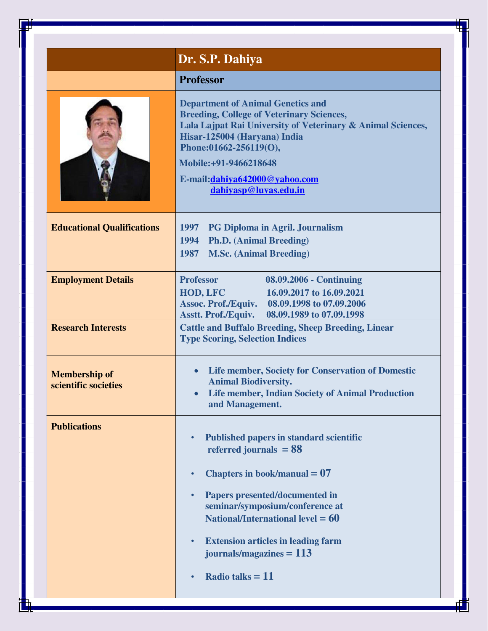|                                              | Dr. S.P. Dahiya                                                                                                                                                                                                                                                                                                                                                               |
|----------------------------------------------|-------------------------------------------------------------------------------------------------------------------------------------------------------------------------------------------------------------------------------------------------------------------------------------------------------------------------------------------------------------------------------|
|                                              | <b>Professor</b>                                                                                                                                                                                                                                                                                                                                                              |
|                                              | <b>Department of Animal Genetics and</b><br><b>Breeding, College of Veterinary Sciences,</b><br>Lala Lajpat Rai University of Veterinary & Animal Sciences,<br>Hisar-125004 (Haryana) India<br>Phone:01662-256119(O),<br>Mobile:+91-9466218648<br>E-mail:dahiya642000@yahoo.com<br>dahiyasp@luvas.edu.in                                                                      |
| <b>Educational Qualifications</b>            | 1997<br><b>PG Diploma in Agril. Journalism</b><br><b>Ph.D.</b> (Animal Breeding)<br>1994<br><b>M.Sc. (Animal Breeding)</b><br>1987                                                                                                                                                                                                                                            |
| <b>Employment Details</b>                    | <b>Professor</b><br>08.09.2006 - Continuing<br>16.09.2017 to 16.09.2021<br><b>HOD, LFC</b><br><b>Assoc. Prof./Equiv.</b><br>08.09.1998 to 07.09.2006<br><b>Asstt. Prof./Equiv.</b><br>08.09.1989 to 07.09.1998                                                                                                                                                                |
| <b>Research Interests</b>                    | <b>Cattle and Buffalo Breeding, Sheep Breeding, Linear</b><br><b>Type Scoring, Selection Indices</b>                                                                                                                                                                                                                                                                          |
| <b>Membership of</b><br>scientific societies | <b>Life member, Society for Conservation of Domestic</b><br>$\bullet$<br><b>Animal Biodiversity.</b><br><b>Life member, Indian Society of Animal Production</b><br>and Management.                                                                                                                                                                                            |
| <b>Publications</b>                          | <b>Published papers in standard scientific</b><br>$\bullet$<br>referred journals $= 88$<br>Chapters in book/manual $= 07$<br>$\bullet$<br>Papers presented/documented in<br>$\bullet$<br>seminar/symposium/conference at<br>National/International level $= 60$<br><b>Extension articles in leading farm</b><br>$\bullet$<br>journals/magazines $= 113$<br>Radio talks $= 11$ |